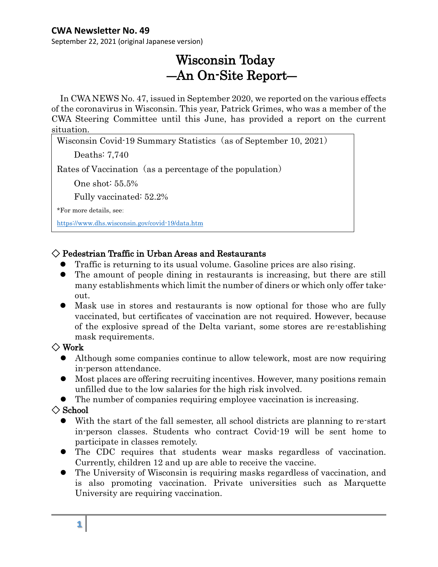September 22, 2021 (original Japanese version)

# Wisconsin Today ―An On-Site Report―

In CWA NEWS No. 47, issued in September 2020, we reported on the various effects of the coronavirus in Wisconsin. This year, Patrick Grimes, who was a member of the CWA Steering Committee until this June, has provided a report on the current situation.

Wisconsin Covid-19 Summary Statistics (as of September 10, 2021)

Deaths: 7,740

Rates of Vaccination (as a percentage of the population)

One shot: 55.5%

Fully vaccinated: 52.2%

\*For more details, see:

 $\overline{\phantom{a}}$  $\overline{\phantom{a}}$  $\overline{a}$ 

<https://www.dhs.wisconsin.gov/covid-19/data.htm>

#### $\Diamond$  Pedestrian Traffic in Urban Areas and Restaurants

- ⚫ Traffic is returning to its usual volume. Gasoline prices are also rising.
- ⚫ The amount of people dining in restaurants is increasing, but there are still many establishments which limit the number of diners or which only offer takeout.
- Mask use in stores and restaurants is now optional for those who are fully vaccinated, but certificates of vaccination are not required. However, because of the explosive spread of the Delta variant, some stores are re-establishing mask requirements.

#### $\Diamond$  Work

- ⚫ Although some companies continue to allow telework, most are now requiring in-person attendance.
- ⚫ Most places are offering recruiting incentives. However, many positions remain unfilled due to the low salaries for the high risk involved.
- ⚫ The number of companies requiring employee vaccination is increasing.

#### $\diamondsuit$  School

- ⚫ With the start of the fall semester, all school districts are planning to re-start in-person classes. Students who contract Covid-19 will be sent home to participate in classes remotely.
- ⚫ The CDC requires that students wear masks regardless of vaccination. Currently, children 12 and up are able to receive the vaccine.
- ⚫ The University of Wisconsin is requiring masks regardless of vaccination, and is also promoting vaccination. Private universities such as Marquette University are requiring vaccination.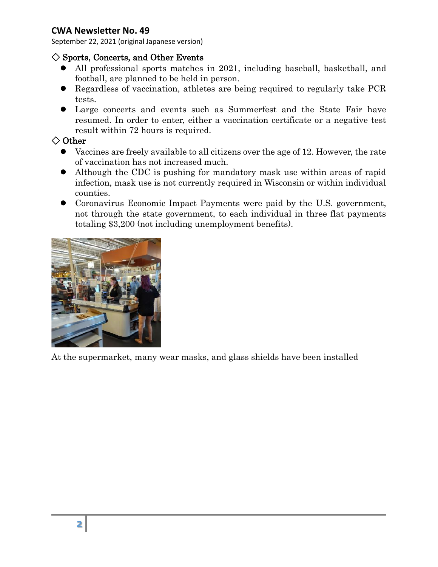September 22, 2021 (original Japanese version)

#### $\diamondsuit$  Sports, Concerts, and Other Events

- ⚫ All professional sports matches in 2021, including baseball, basketball, and football, are planned to be held in person.
- ⚫ Regardless of vaccination, athletes are being required to regularly take PCR tests.
- ⚫ Large concerts and events such as Summerfest and the State Fair have resumed. In order to enter, either a vaccination certificate or a negative test result within 72 hours is required.

#### ◇ Other

- ⚫ Vaccines are freely available to all citizens over the age of 12. However, the rate of vaccination has not increased much.
- ⚫ Although the CDC is pushing for mandatory mask use within areas of rapid infection, mask use is not currently required in Wisconsin or within individual counties.
- ⚫ Coronavirus Economic Impact Payments were paid by the U.S. government, not through the state government, to each individual in three flat payments totaling \$3,200 (not including unemployment benefits).



At the supermarket, many wear masks, and glass shields have been installed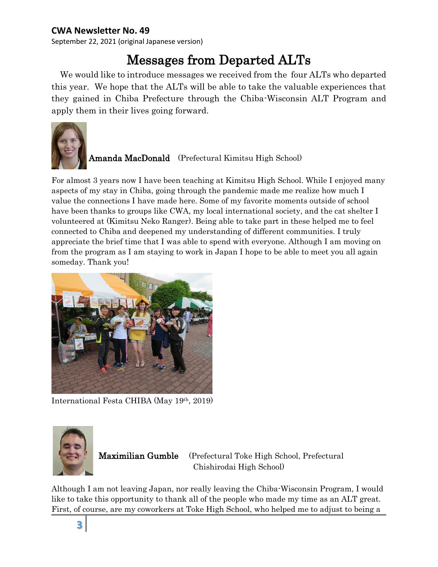September 22, 2021 (original Japanese version)

# Messages from Departed ALTs

We would like to introduce messages we received from the four ALTs who departed this year. We hope that the ALTs will be able to take the valuable experiences that they gained in Chiba Prefecture through the Chiba-Wisconsin ALT Program and apply them in their lives going forward.



#### Amanda MacDonald (Prefectural Kimitsu High School)

For almost 3 years now I have been teaching at Kimitsu High School. While I enjoyed many aspects of my stay in Chiba, going through the pandemic made me realize how much I value the connections I have made here. Some of my favorite moments outside of school have been thanks to groups like CWA, my local international society, and the cat shelter I volunteered at (Kimitsu Neko Ranger). Being able to take part in these helped me to feel connected to Chiba and deepened my understanding of different communities. I truly appreciate the brief time that I was able to spend with everyone. Although I am moving on from the program as I am staying to work in Japan I hope to be able to meet you all again someday. Thank you!



International Festa CHIBA (May 19th, 2019)



Maximilian Gumble (Prefectural Toke High School, Prefectural Chishirodai High School)

Although I am not leaving Japan, nor really leaving the Chiba-Wisconsin Program, I would like to take this opportunity to thank all of the people who made my time as an ALT great. First, of course, are my coworkers at Toke High School, who helped me to adjust to being a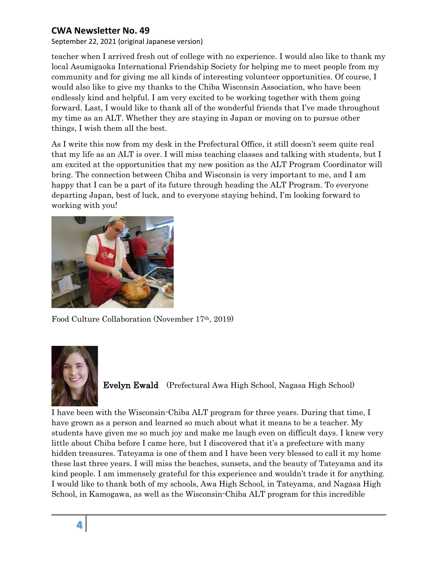September 22, 2021 (original Japanese version)

teacher when I arrived fresh out of college with no experience. I would also like to thank my local Asumigaoka International Friendship Society for helping me to meet people from my community and for giving me all kinds of interesting volunteer opportunities. Of course, I would also like to give my thanks to the Chiba Wisconsin Association, who have been endlessly kind and helpful. I am very excited to be working together with them going forward. Last, I would like to thank all of the wonderful friends that I've made throughout my time as an ALT. Whether they are staying in Japan or moving on to pursue other things, I wish them all the best.

As I write this now from my desk in the Prefectural Office, it still doesn't seem quite real that my life as an ALT is over. I will miss teaching classes and talking with students, but I am excited at the opportunities that my new position as the ALT Program Coordinator will bring. The connection between Chiba and Wisconsin is very important to me, and I am happy that I can be a part of its future through heading the ALT Program. To everyone departing Japan, best of luck, and to everyone staying behind, I'm looking forward to working with you!



Food Culture Collaboration (November 17th, 2019)



Evelyn Ewald (Prefectural Awa High School, Nagasa High School)

I have been with the Wisconsin-Chiba ALT program for three years. During that time, I have grown as a person and learned so much about what it means to be a teacher. My students have given me so much joy and make me laugh even on difficult days. I knew very little about Chiba before I came here, but I discovered that it's a prefecture with many hidden treasures. Tateyama is one of them and I have been very blessed to call it my home these last three years. I will miss the beaches, sunsets, and the beauty of Tateyama and its kind people. I am immensely grateful for this experience and wouldn't trade it for anything. I would like to thank both of my schools, Awa High School, in Tateyama, and Nagasa High School, in Kamogawa, as well as the Wisconsin-Chiba ALT program for this incredible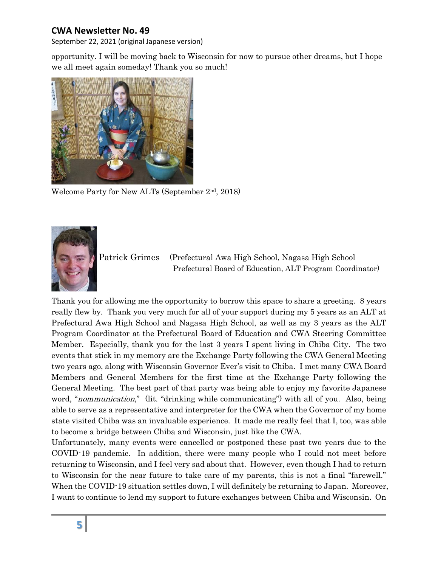September 22, 2021 (original Japanese version)

opportunity. I will be moving back to Wisconsin for now to pursue other dreams, but I hope we all meet again someday! Thank you so much!



Welcome Party for New ALTs (September 2<sup>nd</sup>, 2018)



Patrick Grimes (Prefectural Awa High School, Nagasa High School Prefectural Board of Education, ALT Program Coordinator)

Thank you for allowing me the opportunity to borrow this space to share a greeting. 8 years really flew by. Thank you very much for all of your support during my 5 years as an ALT at Prefectural Awa High School and Nagasa High School, as well as my 3 years as the ALT Program Coordinator at the Prefectural Board of Education and CWA Steering Committee Member. Especially, thank you for the last 3 years I spent living in Chiba City. The two events that stick in my memory are the Exchange Party following the CWA General Meeting two years ago, along with Wisconsin Governor Ever's visit to Chiba. I met many CWA Board Members and General Members for the first time at the Exchange Party following the General Meeting. The best part of that party was being able to enjoy my favorite Japanese word, "*nommunication*," (lit. "drinking while communicating") with all of you. Also, being able to serve as a representative and interpreter for the CWA when the Governor of my home state visited Chiba was an invaluable experience. It made me really feel that I, too, was able to become a bridge between Chiba and Wisconsin, just like the CWA.

Unfortunately, many events were cancelled or postponed these past two years due to the COVID-19 pandemic. In addition, there were many people who I could not meet before returning to Wisconsin, and I feel very sad about that. However, even though I had to return to Wisconsin for the near future to take care of my parents, this is not a final "farewell." When the COVID-19 situation settles down, I will definitely be returning to Japan. Moreover, I want to continue to lend my support to future exchanges between Chiba and Wisconsin. On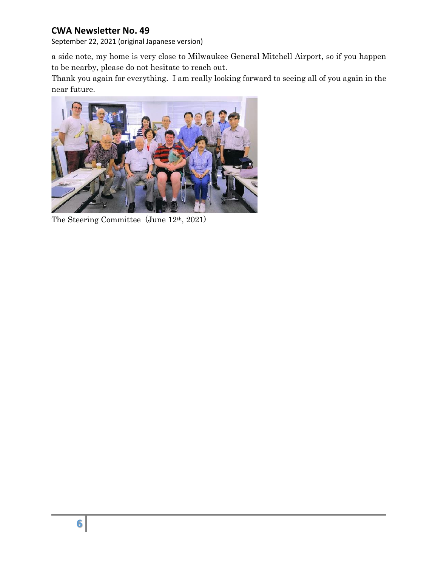September 22, 2021 (original Japanese version)

a side note, my home is very close to Milwaukee General Mitchell Airport, so if you happen to be nearby, please do not hesitate to reach out.

Thank you again for everything. I am really looking forward to seeing all of you again in the near future.



The Steering Committee (June 12th, 2021)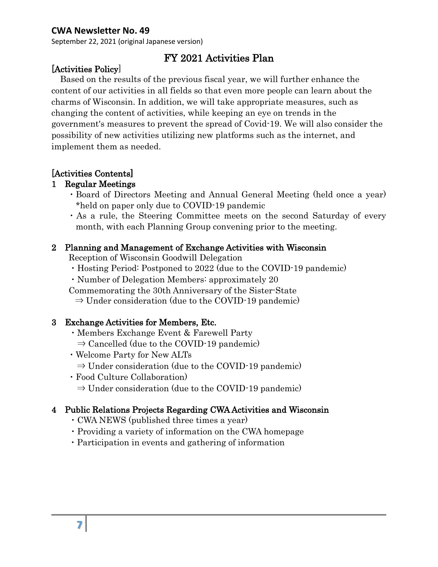September 22, 2021 (original Japanese version)

## FY 2021 Activities Plan

#### [Activities Policy]

Based on the results of the previous fiscal year, we will further enhance the content of our activities in all fields so that even more people can learn about the charms of Wisconsin. In addition, we will take appropriate measures, such as changing the content of activities, while keeping an eye on trends in the government's measures to prevent the spread of Covid-19. We will also consider the possibility of new activities utilizing new platforms such as the internet, and implement them as needed.

#### [Activities Contents]

#### 1 Regular Meetings

- ・Board of Directors Meeting and Annual General Meeting (held once a year) \*held on paper only due to COVID-19 pandemic
- ・As a rule, the Steering Committee meets on the second Saturday of every month, with each Planning Group convening prior to the meeting.

#### 2 Planning and Management of Exchange Activities with Wisconsin

Reception of Wisconsin Goodwill Delegation

- ・Hosting Period: Postponed to 2022 (due to the COVID-19 pandemic)
- ・Number of Delegation Members: approximately 20
- Commemorating the 30th Anniversary of the Sister-State
	- $\Rightarrow$  Under consideration (due to the COVID-19 pandemic)

#### 3 Exchange Activities for Members, Etc.

- ・Members Exchange Event & Farewell Party
	- $\Rightarrow$  Cancelled (due to the COVID-19 pandemic)
- ・Welcome Party for New ALTs
- $\Rightarrow$  Under consideration (due to the COVID-19 pandemic)
- ・Food Culture Collaboration)
	- $\Rightarrow$  Under consideration (due to the COVID-19 pandemic)

#### 4 Public Relations Projects Regarding CWA Activities and Wisconsin

- ・CWA NEWS (published three times a year)
- ・Providing a variety of information on the CWA homepage
- ・Participation in events and gathering of information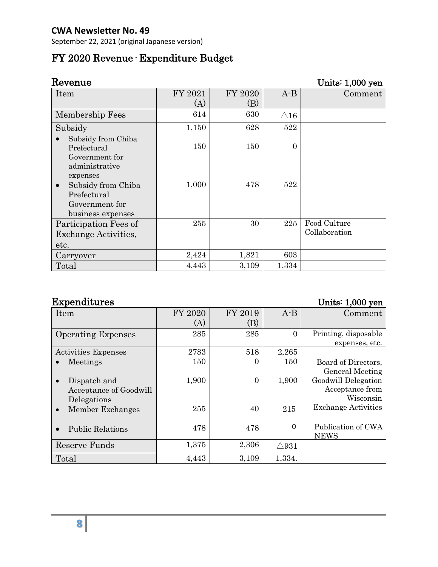September 22, 2021 (original Japanese version)

## FY 2020 Revenue· Expenditure Budget

| Revenue                                             |         |         |                | Units: 1,000 yen |
|-----------------------------------------------------|---------|---------|----------------|------------------|
| Item                                                | FY 2021 | FY 2020 | $A - B$        | Comment          |
|                                                     | (A)     | (B)     |                |                  |
| Membership Fees                                     | 614     | 630     | $\triangle 16$ |                  |
| Subsidy                                             | 1,150   | 628     | 522            |                  |
| Subsidy from Chiba<br>Prefectural<br>Government for | 150     | 150     | $\overline{0}$ |                  |
| administrative<br>expenses                          |         |         |                |                  |
| Subsidy from Chiba<br>Prefectural<br>Government for | 1,000   | 478     | 522            |                  |
| business expenses                                   |         |         |                |                  |
| Participation Fees of                               | 255     | 30      | 225            | Food Culture     |
| <b>Exchange Activities,</b>                         |         |         |                | Collaboration    |
| etc.                                                |         |         |                |                  |
| Carryover                                           | 2,424   | 1,821   | 603            |                  |
| Total                                               | 4,443   | 3,109   | 1,334          |                  |

## Expenditures Units: 1,000 yen

| Item                       | FY 2020 | FY 2019        | $A - B$         | Comment                    |
|----------------------------|---------|----------------|-----------------|----------------------------|
|                            | (A)     | (B)            |                 |                            |
| <b>Operating Expenses</b>  | 285     | 285            | $\Omega$        | Printing, disposable       |
|                            |         |                |                 | expenses, etc.             |
| <b>Activities Expenses</b> | 2783    | 518            | 2,265           |                            |
| Meetings                   | 150     | 0              | 150             | Board of Directors,        |
|                            |         |                |                 | General Meeting            |
| Dispatch and               | 1,900   | $\overline{0}$ | 1,900           | Goodwill Delegation        |
| Acceptance of Goodwill     |         |                |                 | Acceptance from            |
| Delegations                |         |                |                 | Wisconsin                  |
| Member Exchanges           | 255     | 40             | 215             | <b>Exchange Activities</b> |
|                            |         |                |                 |                            |
| <b>Public Relations</b>    | 478     | 478            | 0               | Publication of CWA         |
|                            |         |                |                 | <b>NEWS</b>                |
| Reserve Funds              | 1,375   | 2,306          | $\triangle$ 931 |                            |
| Total                      | 4,443   | 3,109          | 1,334.          |                            |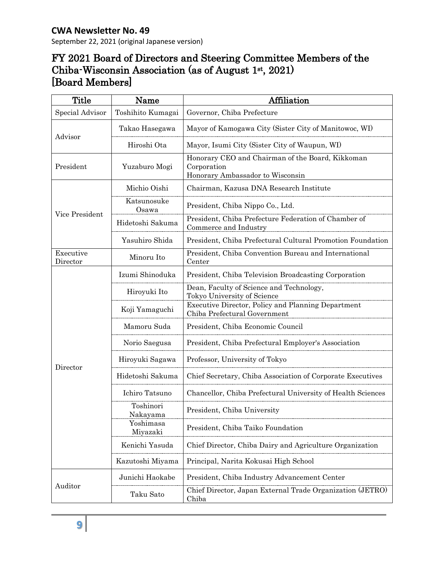## FY 2021 Board of Directors and Steering Committee Members of the Chiba-Wisconsin Association (as of August 1st, 2021) [Board Members]

| <b>Title</b>          | Name                  | Affiliation                                                                                         |  |
|-----------------------|-----------------------|-----------------------------------------------------------------------------------------------------|--|
| Special Advisor       | Toshihito Kumagai     | Governor, Chiba Prefecture                                                                          |  |
| Advisor               | Takao Hasegawa        | Mayor of Kamogawa City (Sister City of Manitowoc, WI)                                               |  |
|                       | Hiroshi Ota           | Mayor, Isumi City (Sister City of Waupun, WI)                                                       |  |
| President             | Yuzaburo Mogi         | Honorary CEO and Chairman of the Board, Kikkoman<br>Corporation<br>Honorary Ambassador to Wisconsin |  |
| Vice President        | Michio Oishi          | Chairman, Kazusa DNA Research Institute                                                             |  |
|                       | Katsunosuke<br>Osawa  | President, Chiba Nippo Co., Ltd.                                                                    |  |
|                       | Hidetoshi Sakuma      | President, Chiba Prefecture Federation of Chamber of<br>Commerce and Industry                       |  |
|                       | Yasuhiro Shida        | President, Chiba Prefectural Cultural Promotion Foundation                                          |  |
| Executive<br>Director | Minoru Ito            | President, Chiba Convention Bureau and International<br>Center                                      |  |
| Director              | Izumi Shinoduka       | President, Chiba Television Broadcasting Corporation                                                |  |
|                       | Hiroyuki Ito          | Dean, Faculty of Science and Technology,<br>Tokyo University of Science                             |  |
|                       | Koji Yamaguchi        | Executive Director, Policy and Planning Department<br>Chiba Prefectural Government                  |  |
|                       | Mamoru Suda           | President, Chiba Economic Council                                                                   |  |
|                       | Norio Saegusa         | President, Chiba Prefectural Employer's Association                                                 |  |
|                       | Hiroyuki Sagawa       | Professor, University of Tokyo                                                                      |  |
|                       | Hidetoshi Sakuma      | Chief Secretary, Chiba Association of Corporate Executives                                          |  |
|                       | Ichiro Tatsuno        | Chancellor, Chiba Prefectural University of Health Sciences                                         |  |
|                       | Toshinori<br>Nakayama | President, Chiba University                                                                         |  |
|                       | Yoshimasa<br>Miyazaki | President, Chiba Taiko Foundation                                                                   |  |
|                       | Kenichi Yasuda        | Chief Director, Chiba Dairy and Agriculture Organization                                            |  |
|                       | Kazutoshi Miyama      | Principal, Narita Kokusai High School                                                               |  |
|                       | Junichi Haokabe       | President, Chiba Industry Advancement Center                                                        |  |
| Auditor               | Taku Sato             | Chief Director, Japan External Trade Organization (JETRO)<br>Chiba                                  |  |